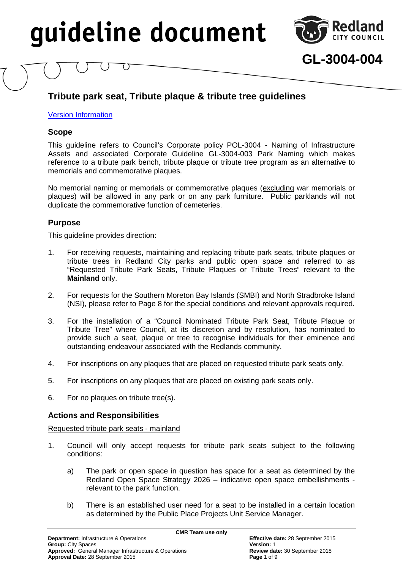

**GL-3004-004**

### <span id="page-0-0"></span>**Tribute park seat, Tribute plaque & tribute tree guidelines**

### [Version Information](#page-8-0)

### **Scope**

This guideline refers to Council's Corporate policy POL-3004 - Naming of Infrastructure Assets and associated Corporate Guideline GL-3004-003 Park Naming which makes reference to a tribute park bench, tribute plaque or tribute tree program as an alternative to memorials and commemorative plaques.

No memorial naming or memorials or commemorative plaques (excluding war memorials or plaques) will be allowed in any park or on any park furniture. Public parklands will not duplicate the commemorative function of cemeteries.

### **Purpose**

This guideline provides direction:

- 1. For receiving requests, maintaining and replacing tribute park seats, tribute plaques or tribute trees in Redland City parks and public open space and referred to as "Requested Tribute Park Seats, Tribute Plaques or Tribute Trees" relevant to the **Mainland** only.
- 2. For requests for the Southern Moreton Bay Islands (SMBI) and North Stradbroke Island (NSI), please refer to Page 8 for the special conditions and relevant approvals required.
- 3. For the installation of a "Council Nominated Tribute Park Seat, Tribute Plaque or Tribute Tree" where Council, at its discretion and by resolution, has nominated to provide such a seat, plaque or tree to recognise individuals for their eminence and outstanding endeavour associated with the Redlands community.
- 4. For inscriptions on any plaques that are placed on requested tribute park seats only.
- 5. For inscriptions on any plaques that are placed on existing park seats only.
- 6. For no plaques on tribute tree(s).

### **Actions and Responsibilities**

Requested tribute park seats - mainland

- 1. Council will only accept requests for tribute park seats subject to the following conditions:
	- a) The park or open space in question has space for a seat as determined by the Redland Open Space Strategy 2026 – indicative open space embellishments relevant to the park function.
	- b) There is an established user need for a seat to be installed in a certain location as determined by the Public Place Projects Unit Service Manager.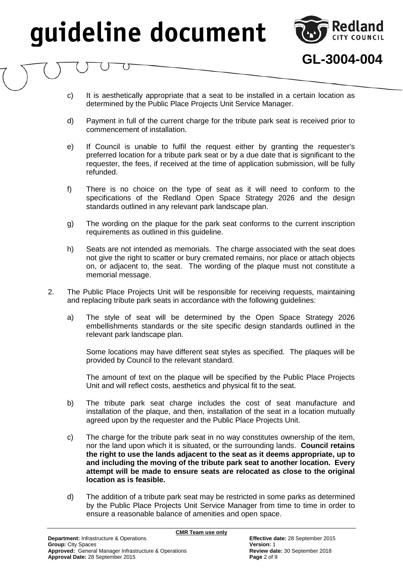

**GL-3004-004**

- c) It is aesthetically appropriate that a seat to be installed in a certain location as determined by the Public Place Projects Unit Service Manager.
- d) Payment in full of the current charge for the tribute park seat is received prior to commencement of installation.
- e) If Council is unable to fulfil the request either by granting the requester's preferred location for a tribute park seat or by a due date that is significant to the requester, the fees, if received at the time of application submission, will be fully refunded.
- f) There is no choice on the type of seat as it will need to conform to the specifications of the Redland Open Space Strategy 2026 and the design standards outlined in any relevant park landscape plan.
- g) The wording on the plaque for the park seat conforms to the current inscription requirements as outlined in this guideline.
- h) Seats are not intended as memorials. The charge associated with the seat does not give the right to scatter or bury cremated remains, nor place or attach objects on, or adjacent to, the seat. The wording of the plaque must not constitute a memorial message.
- 2. The Public Place Projects Unit will be responsible for receiving requests, maintaining and replacing tribute park seats in accordance with the following guidelines:
	- a) The style of seat will be determined by the Open Space Strategy 2026 embellishments standards or the site specific design standards outlined in the relevant park landscape plan.

Some locations may have different seat styles as specified. The plaques will be provided by Council to the relevant standard.

The amount of text on the plaque will be specified by the Public Place Projects Unit and will reflect costs, aesthetics and physical fit to the seat.

- b) The tribute park seat charge includes the cost of seat manufacture and installation of the plaque, and then, installation of the seat in a location mutually agreed upon by the requester and the Public Place Projects Unit.
- c) The charge for the tribute park seat in no way constitutes ownership of the item, nor the land upon which it is situated, or the surrounding lands. **Council retains the right to use the lands adjacent to the seat as it deems appropriate, up to and including the moving of the tribute park seat to another location. Every attempt will be made to ensure seats are relocated as close to the original location as is feasible.**
- d) The addition of a tribute park seat may be restricted in some parks as determined by the Public Place Projects Unit Service Manager from time to time in order to ensure a reasonable balance of amenities and open space.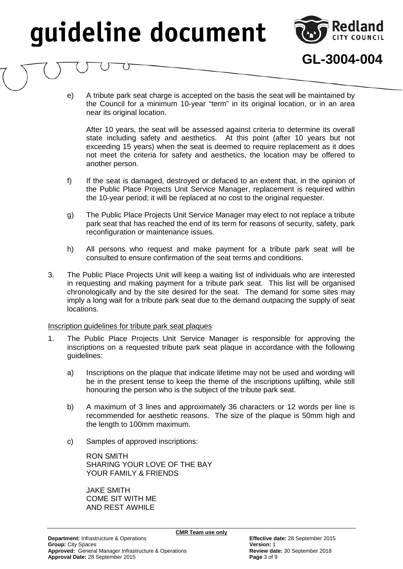

**GL-3004-004**

e) A tribute park seat charge is accepted on the basis the seat will be maintained by the Council for a minimum 10-year "term" in its original location, or in an area near its original location.

After 10 years, the seat will be assessed against criteria to determine its overall state including safety and aesthetics. At this point (after 10 years but not exceeding 15 years) when the seat is deemed to require replacement as it does not meet the criteria for safety and aesthetics, the location may be offered to another person.

- f) If the seat is damaged, destroyed or defaced to an extent that, in the opinion of the Public Place Projects Unit Service Manager, replacement is required within the 10-year period; it will be replaced at no cost to the original requester.
- g) The Public Place Projects Unit Service Manager may elect to not replace a tribute park seat that has reached the end of its term for reasons of security, safety, park reconfiguration or maintenance issues.
- h) All persons who request and make payment for a tribute park seat will be consulted to ensure confirmation of the seat terms and conditions.
- 3. The Public Place Projects Unit will keep a waiting list of individuals who are interested in requesting and making payment for a tribute park seat. This list will be organised chronologically and by the site desired for the seat. The demand for some sites may imply a long wait for a tribute park seat due to the demand outpacing the supply of seat locations.

### Inscription guidelines for tribute park seat plaques

- 1. The Public Place Projects Unit Service Manager is responsible for approving the inscriptions on a requested tribute park seat plaque in accordance with the following guidelines:
	- a) Inscriptions on the plaque that indicate lifetime may not be used and wording will be in the present tense to keep the theme of the inscriptions uplifting, while still honouring the person who is the subject of the tribute park seat.
	- b) A maximum of 3 lines and approximately 36 characters or 12 words per line is recommended for aesthetic reasons. The size of the plaque is 50mm high and the length to 100mm maximum.
	- c) Samples of approved inscriptions:

RON SMITH SHARING YOUR LOVE OF THE BAY YOUR FAMILY & FRIENDS

JAKE SMITH COME SIT WITH ME AND REST AWHILE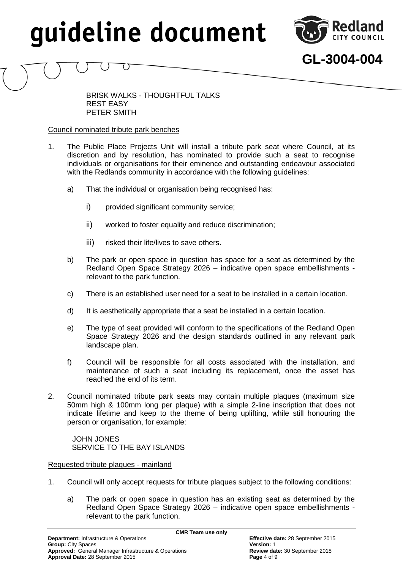

**GL-3004-004**

BRISK WALKS - THOUGHTFUL TALKS REST EASY PETER SMITH

### Council nominated tribute park benches

- 1. The Public Place Projects Unit will install a tribute park seat where Council, at its discretion and by resolution, has nominated to provide such a seat to recognise individuals or organisations for their eminence and outstanding endeavour associated with the Redlands community in accordance with the following guidelines:
	- a) That the individual or organisation being recognised has:
		- i) provided significant community service;
		- ii) worked to foster equality and reduce discrimination;
		- iii) risked their life/lives to save others.
	- b) The park or open space in question has space for a seat as determined by the Redland Open Space Strategy 2026 – indicative open space embellishments relevant to the park function.
	- c) There is an established user need for a seat to be installed in a certain location.
	- d) It is aesthetically appropriate that a seat be installed in a certain location.
	- e) The type of seat provided will conform to the specifications of the Redland Open Space Strategy 2026 and the design standards outlined in any relevant park landscape plan.
	- f) Council will be responsible for all costs associated with the installation, and maintenance of such a seat including its replacement, once the asset has reached the end of its term.
- 2. Council nominated tribute park seats may contain multiple plaques (maximum size 50mm high & 100mm long per plaque) with a simple 2-line inscription that does not indicate lifetime and keep to the theme of being uplifting, while still honouring the person or organisation, for example:

JOHN JONES SERVICE TO THE BAY ISLANDS

### Requested tribute plaques - mainland

- 1. Council will only accept requests for tribute plaques subject to the following conditions:
	- a) The park or open space in question has an existing seat as determined by the Redland Open Space Strategy 2026 – indicative open space embellishments relevant to the park function.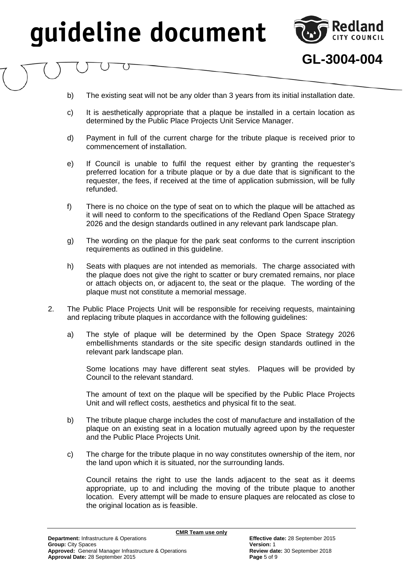

**GL-3004-004**

- b) The existing seat will not be any older than 3 years from its initial installation date.
- c) It is aesthetically appropriate that a plaque be installed in a certain location as determined by the Public Place Projects Unit Service Manager.
- d) Payment in full of the current charge for the tribute plaque is received prior to commencement of installation.
- e) If Council is unable to fulfil the request either by granting the requester's preferred location for a tribute plaque or by a due date that is significant to the requester, the fees, if received at the time of application submission, will be fully refunded.
- f) There is no choice on the type of seat on to which the plaque will be attached as it will need to conform to the specifications of the Redland Open Space Strategy 2026 and the design standards outlined in any relevant park landscape plan.
- g) The wording on the plaque for the park seat conforms to the current inscription requirements as outlined in this guideline.
- h) Seats with plaques are not intended as memorials. The charge associated with the plaque does not give the right to scatter or bury cremated remains, nor place or attach objects on, or adjacent to, the seat or the plaque. The wording of the plaque must not constitute a memorial message.
- 2. The Public Place Projects Unit will be responsible for receiving requests, maintaining and replacing tribute plaques in accordance with the following guidelines:
	- a) The style of plaque will be determined by the Open Space Strategy 2026 embellishments standards or the site specific design standards outlined in the relevant park landscape plan.

Some locations may have different seat styles. Plaques will be provided by Council to the relevant standard.

The amount of text on the plaque will be specified by the Public Place Projects Unit and will reflect costs, aesthetics and physical fit to the seat.

- b) The tribute plaque charge includes the cost of manufacture and installation of the plaque on an existing seat in a location mutually agreed upon by the requester and the Public Place Projects Unit.
- c) The charge for the tribute plaque in no way constitutes ownership of the item, nor the land upon which it is situated, nor the surrounding lands.

**CMR Team use only**

Council retains the right to use the lands adjacent to the seat as it deems appropriate, up to and including the moving of the tribute plaque to another location. Every attempt will be made to ensure plaques are relocated as close to the original location as is feasible.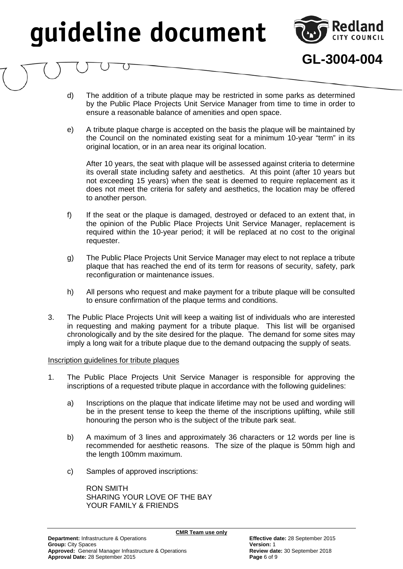

**GL-3004-004**

- d) The addition of a tribute plaque may be restricted in some parks as determined by the Public Place Projects Unit Service Manager from time to time in order to ensure a reasonable balance of amenities and open space.
- e) A tribute plaque charge is accepted on the basis the plaque will be maintained by the Council on the nominated existing seat for a minimum 10-year "term" in its original location, or in an area near its original location.

After 10 years, the seat with plaque will be assessed against criteria to determine its overall state including safety and aesthetics. At this point (after 10 years but not exceeding 15 years) when the seat is deemed to require replacement as it does not meet the criteria for safety and aesthetics, the location may be offered to another person.

- f) If the seat or the plaque is damaged, destroyed or defaced to an extent that, in the opinion of the Public Place Projects Unit Service Manager, replacement is required within the 10-year period; it will be replaced at no cost to the original requester.
- g) The Public Place Projects Unit Service Manager may elect to not replace a tribute plaque that has reached the end of its term for reasons of security, safety, park reconfiguration or maintenance issues.
- h) All persons who request and make payment for a tribute plaque will be consulted to ensure confirmation of the plaque terms and conditions.
- 3. The Public Place Projects Unit will keep a waiting list of individuals who are interested in requesting and making payment for a tribute plaque. This list will be organised chronologically and by the site desired for the plaque. The demand for some sites may imply a long wait for a tribute plaque due to the demand outpacing the supply of seats.

#### Inscription guidelines for tribute plaques

- 1. The Public Place Projects Unit Service Manager is responsible for approving the inscriptions of a requested tribute plaque in accordance with the following guidelines:
	- a) Inscriptions on the plaque that indicate lifetime may not be used and wording will be in the present tense to keep the theme of the inscriptions uplifting, while still honouring the person who is the subject of the tribute park seat.
	- b) A maximum of 3 lines and approximately 36 characters or 12 words per line is recommended for aesthetic reasons. The size of the plaque is 50mm high and the length 100mm maximum.

**CMR Team use only**

c) Samples of approved inscriptions:

RON SMITH SHARING YOUR LOVE OF THE BAY YOUR FAMILY & FRIENDS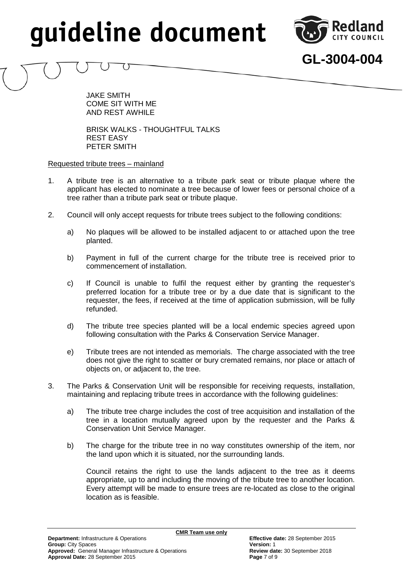

**GL-3004-004**

JAKE SMITH COME SIT WITH ME AND REST AWHILE

BRISK WALKS - THOUGHTFUL TALKS REST EASY PETER SMITH

### Requested tribute trees – mainland

- 1. A tribute tree is an alternative to a tribute park seat or tribute plaque where the applicant has elected to nominate a tree because of lower fees or personal choice of a tree rather than a tribute park seat or tribute plaque.
- 2. Council will only accept requests for tribute trees subject to the following conditions:
	- a) No plaques will be allowed to be installed adjacent to or attached upon the tree planted.
	- b) Payment in full of the current charge for the tribute tree is received prior to commencement of installation.
	- c) If Council is unable to fulfil the request either by granting the requester's preferred location for a tribute tree or by a due date that is significant to the requester, the fees, if received at the time of application submission, will be fully refunded.
	- d) The tribute tree species planted will be a local endemic species agreed upon following consultation with the Parks & Conservation Service Manager.
	- e) Tribute trees are not intended as memorials. The charge associated with the tree does not give the right to scatter or bury cremated remains, nor place or attach of objects on, or adjacent to, the tree.
- 3. The Parks & Conservation Unit will be responsible for receiving requests, installation, maintaining and replacing tribute trees in accordance with the following guidelines:
	- a) The tribute tree charge includes the cost of tree acquisition and installation of the tree in a location mutually agreed upon by the requester and the Parks & Conservation Unit Service Manager.
	- b) The charge for the tribute tree in no way constitutes ownership of the item, nor the land upon which it is situated, nor the surrounding lands.

Council retains the right to use the lands adjacent to the tree as it deems appropriate, up to and including the moving of the tribute tree to another location. Every attempt will be made to ensure trees are re-located as close to the original location as is feasible.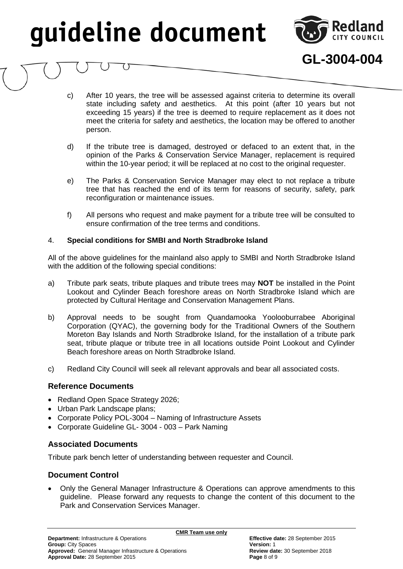

**GL-3004-004**

- c) After 10 years, the tree will be assessed against criteria to determine its overall state including safety and aesthetics. At this point (after 10 years but not exceeding 15 years) if the tree is deemed to require replacement as it does not meet the criteria for safety and aesthetics, the location may be offered to another person.
- d) If the tribute tree is damaged, destroyed or defaced to an extent that, in the opinion of the Parks & Conservation Service Manager, replacement is required within the 10-year period; it will be replaced at no cost to the original requester.
- e) The Parks & Conservation Service Manager may elect to not replace a tribute tree that has reached the end of its term for reasons of security, safety, park reconfiguration or maintenance issues.
- f) All persons who request and make payment for a tribute tree will be consulted to ensure confirmation of the tree terms and conditions.

### 4. **Special conditions for SMBI and North Stradbroke Island**

All of the above guidelines for the mainland also apply to SMBI and North Stradbroke Island with the addition of the following special conditions:

- a) Tribute park seats, tribute plaques and tribute trees may **NOT** be installed in the Point Lookout and Cylinder Beach foreshore areas on North Stradbroke Island which are protected by Cultural Heritage and Conservation Management Plans.
- b) Approval needs to be sought from Quandamooka Yoolooburrabee Aboriginal Corporation (QYAC), the governing body for the Traditional Owners of the Southern Moreton Bay Islands and North Stradbroke Island, for the installation of a tribute park seat, tribute plaque or tribute tree in all locations outside Point Lookout and Cylinder Beach foreshore areas on North Stradbroke Island.
- c) Redland City Council will seek all relevant approvals and bear all associated costs.

### **Reference Documents**

- Redland Open Space Strategy 2026;
- Urban Park Landscape plans;
- Corporate Policy POL-3004 Naming of Infrastructure Assets
- Corporate Guideline GL- 3004 003 Park Naming

### **Associated Documents**

Tribute park bench letter of understanding between requester and Council.

### **Document Control**

• Only the General Manager Infrastructure & Operations can approve amendments to this guideline. Please forward any requests to change the content of this document to the Park and Conservation Services Manager.